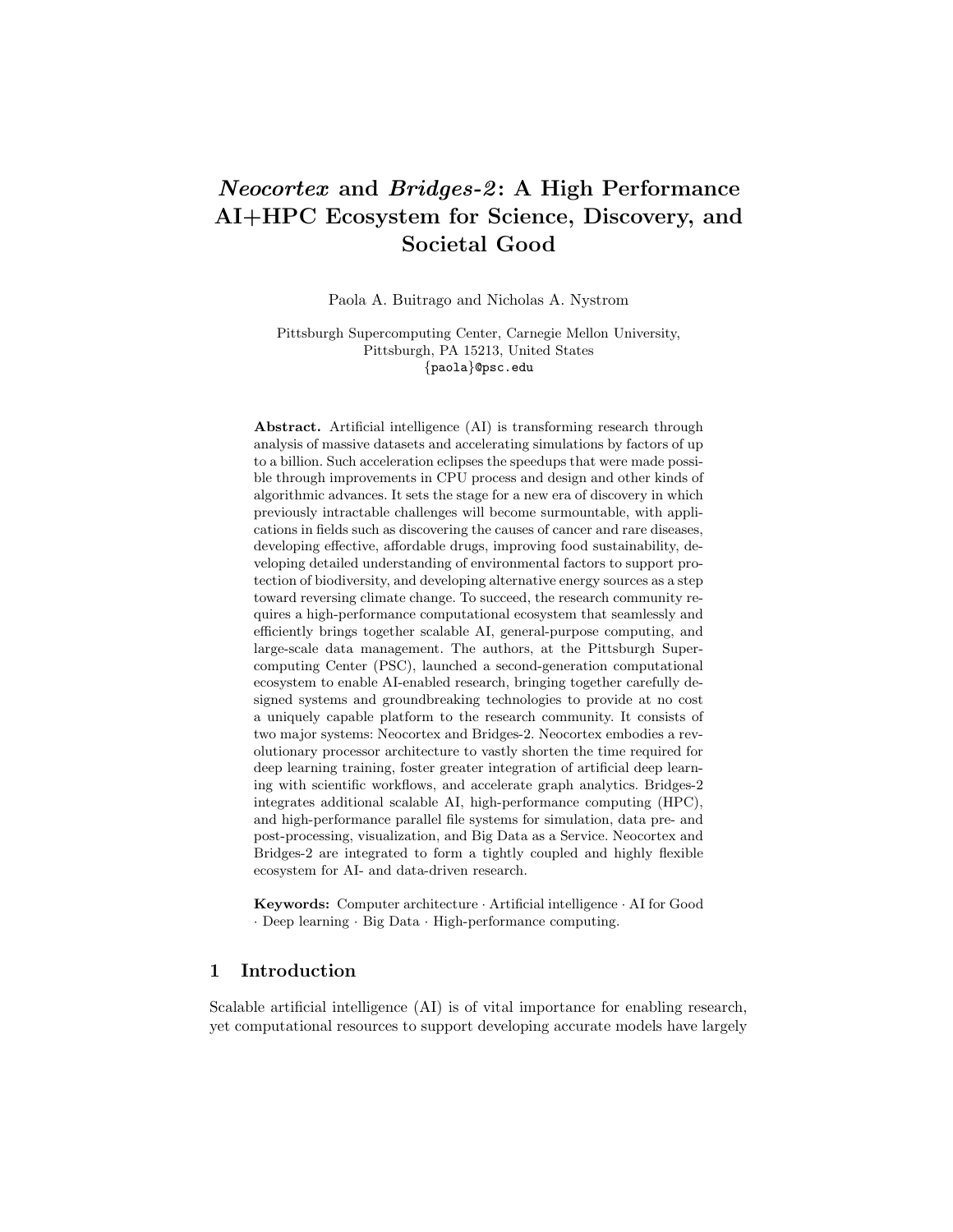# Neocortex and Bridges-2: A High Performance AI+HPC Ecosystem for Science, Discovery, and Societal Good

Paola A. Buitrago and Nicholas A. Nystrom

Pittsburgh Supercomputing Center, Carnegie Mellon University, Pittsburgh, PA 15213, United States {paola}@psc.edu

Abstract. Artificial intelligence (AI) is transforming research through analysis of massive datasets and accelerating simulations by factors of up to a billion. Such acceleration eclipses the speedups that were made possible through improvements in CPU process and design and other kinds of algorithmic advances. It sets the stage for a new era of discovery in which previously intractable challenges will become surmountable, with applications in fields such as discovering the causes of cancer and rare diseases, developing effective, affordable drugs, improving food sustainability, developing detailed understanding of environmental factors to support protection of biodiversity, and developing alternative energy sources as a step toward reversing climate change. To succeed, the research community requires a high-performance computational ecosystem that seamlessly and efficiently brings together scalable AI, general-purpose computing, and large-scale data management. The authors, at the Pittsburgh Supercomputing Center (PSC), launched a second-generation computational ecosystem to enable AI-enabled research, bringing together carefully designed systems and groundbreaking technologies to provide at no cost a uniquely capable platform to the research community. It consists of two major systems: Neocortex and Bridges-2. Neocortex embodies a revolutionary processor architecture to vastly shorten the time required for deep learning training, foster greater integration of artificial deep learning with scientific workflows, and accelerate graph analytics. Bridges-2 integrates additional scalable AI, high-performance computing (HPC), and high-performance parallel file systems for simulation, data pre- and post-processing, visualization, and Big Data as a Service. Neocortex and Bridges-2 are integrated to form a tightly coupled and highly flexible ecosystem for AI- and data-driven research.

Keywords: Computer architecture · Artificial intelligence · AI for Good · Deep learning · Big Data · High-performance computing.

# 1 Introduction

Scalable artificial intelligence (AI) is of vital importance for enabling research, yet computational resources to support developing accurate models have largely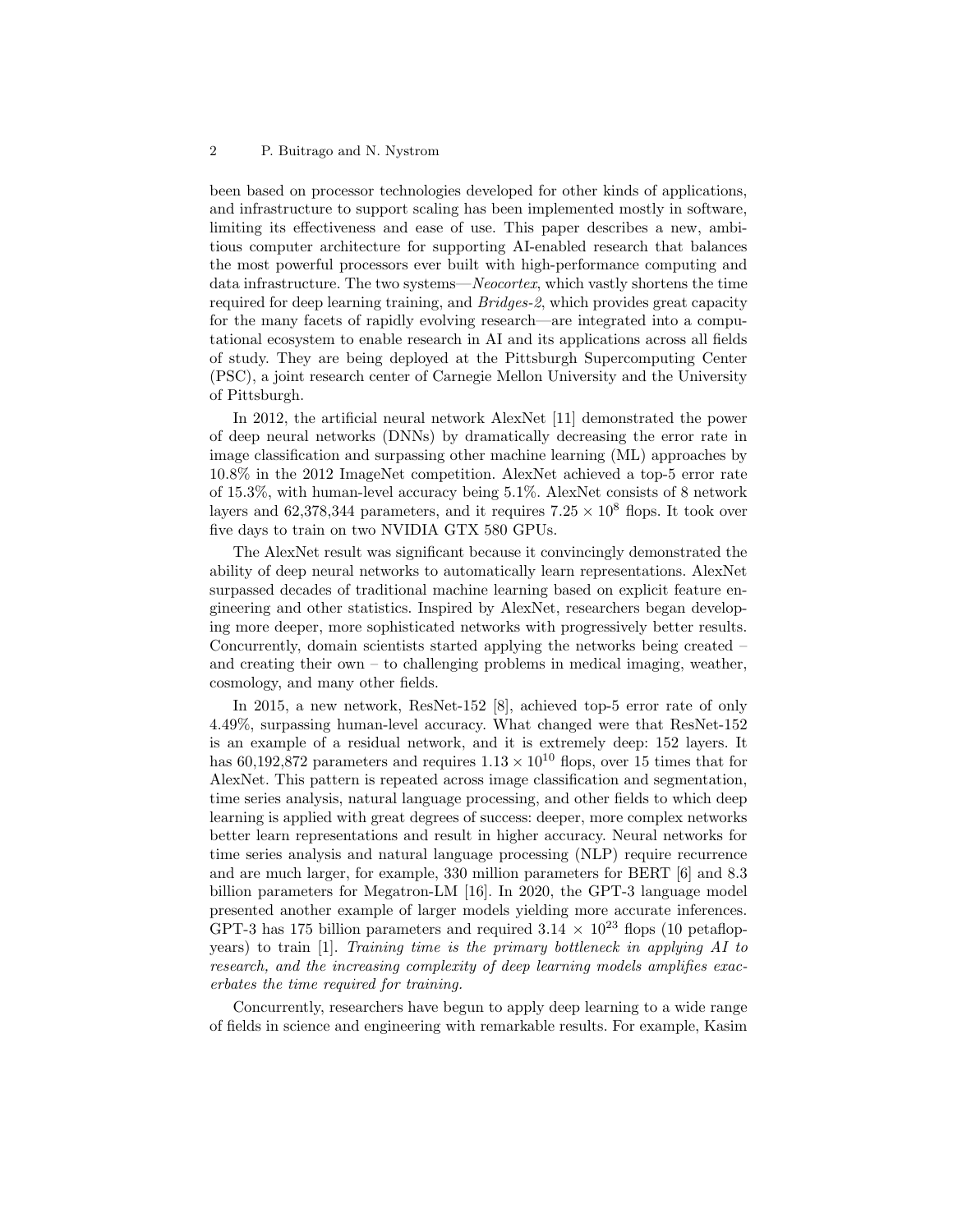been based on processor technologies developed for other kinds of applications, and infrastructure to support scaling has been implemented mostly in software, limiting its effectiveness and ease of use. This paper describes a new, ambitious computer architecture for supporting AI-enabled research that balances the most powerful processors ever built with high-performance computing and data infrastructure. The two systems—Neocortex, which vastly shortens the time required for deep learning training, and Bridges-2, which provides great capacity for the many facets of rapidly evolving research—are integrated into a computational ecosystem to enable research in AI and its applications across all fields of study. They are being deployed at the Pittsburgh Supercomputing Center (PSC), a joint research center of Carnegie Mellon University and the University of Pittsburgh.

In 2012, the artificial neural network AlexNet [11] demonstrated the power of deep neural networks (DNNs) by dramatically decreasing the error rate in image classification and surpassing other machine learning (ML) approaches by 10.8% in the 2012 ImageNet competition. AlexNet achieved a top-5 error rate of 15.3%, with human-level accuracy being 5.1%. AlexNet consists of 8 network layers and 62,378,344 parameters, and it requires  $7.25 \times 10^8$  flops. It took over five days to train on two NVIDIA GTX 580 GPUs.

The AlexNet result was significant because it convincingly demonstrated the ability of deep neural networks to automatically learn representations. AlexNet surpassed decades of traditional machine learning based on explicit feature engineering and other statistics. Inspired by AlexNet, researchers began developing more deeper, more sophisticated networks with progressively better results. Concurrently, domain scientists started applying the networks being created – and creating their own – to challenging problems in medical imaging, weather, cosmology, and many other fields.

In 2015, a new network, ResNet-152 [8], achieved top-5 error rate of only 4.49%, surpassing human-level accuracy. What changed were that ResNet-152 is an example of a residual network, and it is extremely deep: 152 layers. It has 60,192,872 parameters and requires  $1.13 \times 10^{10}$  flops, over 15 times that for AlexNet. This pattern is repeated across image classification and segmentation, time series analysis, natural language processing, and other fields to which deep learning is applied with great degrees of success: deeper, more complex networks better learn representations and result in higher accuracy. Neural networks for time series analysis and natural language processing (NLP) require recurrence and are much larger, for example, 330 million parameters for BERT [6] and 8.3 billion parameters for Megatron-LM [16]. In 2020, the GPT-3 language model presented another example of larger models yielding more accurate inferences. GPT-3 has 175 billion parameters and required  $3.14 \times 10^{23}$  flops (10 petaflopyears) to train [1]. Training time is the primary bottleneck in applying AI to research, and the increasing complexity of deep learning models amplifies exacerbates the time required for training.

Concurrently, researchers have begun to apply deep learning to a wide range of fields in science and engineering with remarkable results. For example, Kasim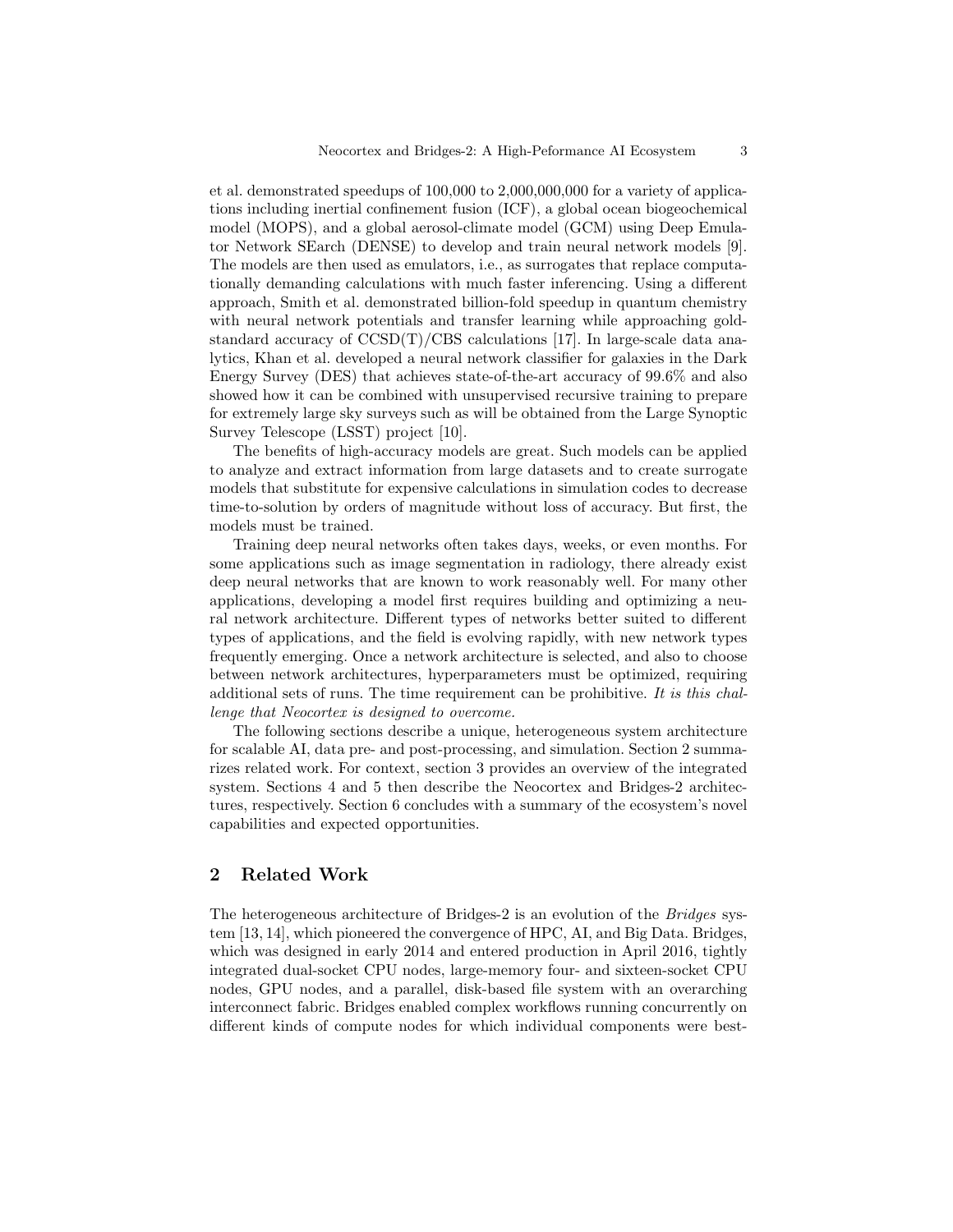et al. demonstrated speedups of 100,000 to 2,000,000,000 for a variety of applications including inertial confinement fusion (ICF), a global ocean biogeochemical model (MOPS), and a global aerosol-climate model (GCM) using Deep Emulator Network SEarch (DENSE) to develop and train neural network models [9]. The models are then used as emulators, i.e., as surrogates that replace computationally demanding calculations with much faster inferencing. Using a different approach, Smith et al. demonstrated billion-fold speedup in quantum chemistry with neural network potentials and transfer learning while approaching goldstandard accuracy of  $\text{CCSD(T)/CBS}$  calculations [17]. In large-scale data analytics, Khan et al. developed a neural network classifier for galaxies in the Dark Energy Survey (DES) that achieves state-of-the-art accuracy of 99.6% and also showed how it can be combined with unsupervised recursive training to prepare for extremely large sky surveys such as will be obtained from the Large Synoptic Survey Telescope (LSST) project [10].

The benefits of high-accuracy models are great. Such models can be applied to analyze and extract information from large datasets and to create surrogate models that substitute for expensive calculations in simulation codes to decrease time-to-solution by orders of magnitude without loss of accuracy. But first, the models must be trained.

Training deep neural networks often takes days, weeks, or even months. For some applications such as image segmentation in radiology, there already exist deep neural networks that are known to work reasonably well. For many other applications, developing a model first requires building and optimizing a neural network architecture. Different types of networks better suited to different types of applications, and the field is evolving rapidly, with new network types frequently emerging. Once a network architecture is selected, and also to choose between network architectures, hyperparameters must be optimized, requiring additional sets of runs. The time requirement can be prohibitive. It is this challenge that Neocortex is designed to overcome.

The following sections describe a unique, heterogeneous system architecture for scalable AI, data pre- and post-processing, and simulation. Section 2 summarizes related work. For context, section 3 provides an overview of the integrated system. Sections 4 and 5 then describe the Neocortex and Bridges-2 architectures, respectively. Section 6 concludes with a summary of the ecosystem's novel capabilities and expected opportunities.

## 2 Related Work

The heterogeneous architecture of Bridges-2 is an evolution of the Bridges system [13, 14], which pioneered the convergence of HPC, AI, and Big Data. Bridges, which was designed in early 2014 and entered production in April 2016, tightly integrated dual-socket CPU nodes, large-memory four- and sixteen-socket CPU nodes, GPU nodes, and a parallel, disk-based file system with an overarching interconnect fabric. Bridges enabled complex workflows running concurrently on different kinds of compute nodes for which individual components were best-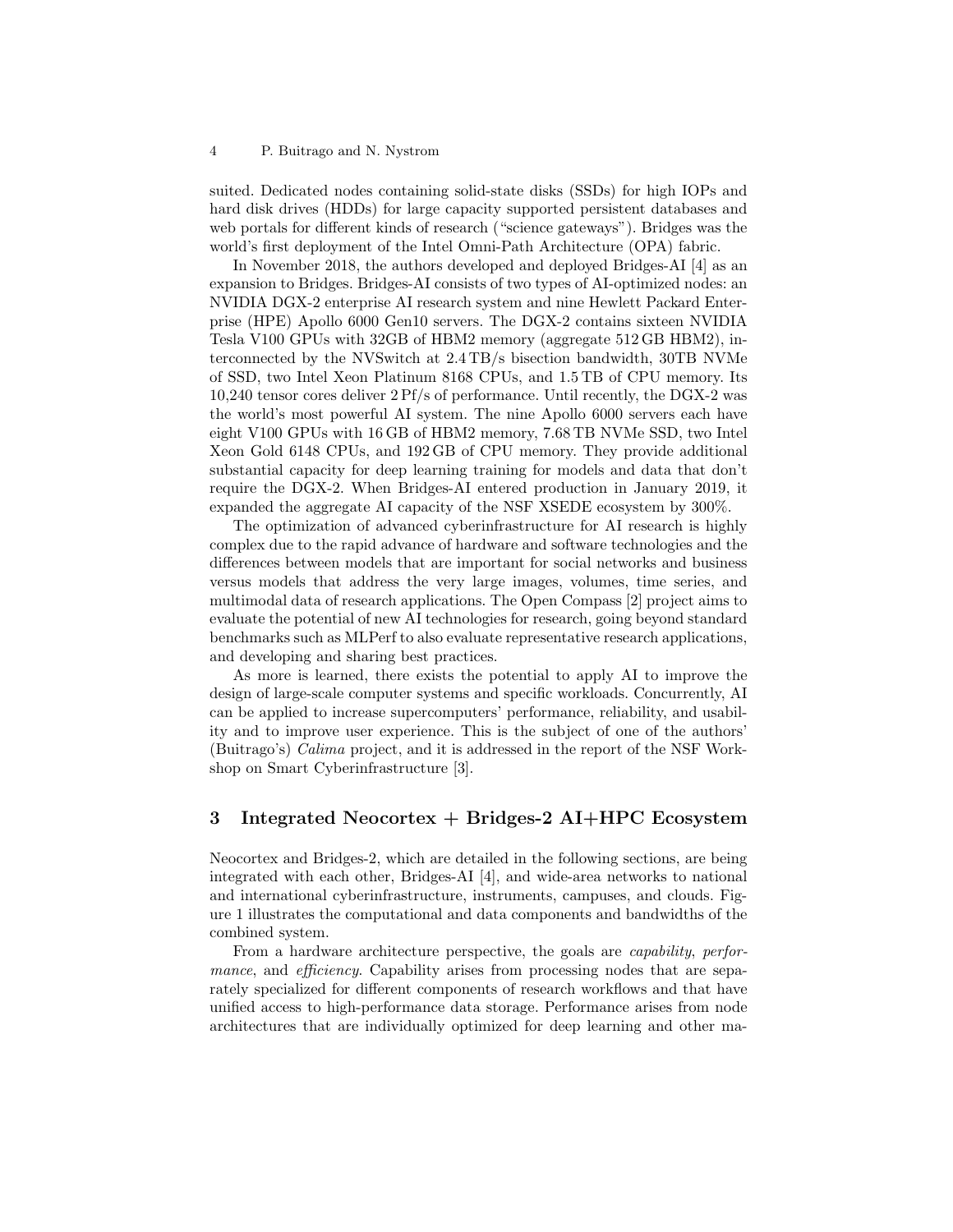#### 4 P. Buitrago and N. Nystrom

suited. Dedicated nodes containing solid-state disks (SSDs) for high IOPs and hard disk drives (HDDs) for large capacity supported persistent databases and web portals for different kinds of research ("science gateways"). Bridges was the world's first deployment of the Intel Omni-Path Architecture (OPA) fabric.

In November 2018, the authors developed and deployed Bridges-AI [4] as an expansion to Bridges. Bridges-AI consists of two types of AI-optimized nodes: an NVIDIA DGX-2 enterprise AI research system and nine Hewlett Packard Enterprise (HPE) Apollo 6000 Gen10 servers. The DGX-2 contains sixteen NVIDIA Tesla V100 GPUs with 32GB of HBM2 memory (aggregate 512 GB HBM2), interconnected by the NVSwitch at 2.4 TB/s bisection bandwidth, 30TB NVMe of SSD, two Intel Xeon Platinum 8168 CPUs, and 1.5 TB of CPU memory. Its 10,240 tensor cores deliver 2 Pf/s of performance. Until recently, the DGX-2 was the world's most powerful AI system. The nine Apollo 6000 servers each have eight V100 GPUs with 16 GB of HBM2 memory, 7.68 TB NVMe SSD, two Intel Xeon Gold 6148 CPUs, and 192 GB of CPU memory. They provide additional substantial capacity for deep learning training for models and data that don't require the DGX-2. When Bridges-AI entered production in January 2019, it expanded the aggregate AI capacity of the NSF XSEDE ecosystem by 300%.

The optimization of advanced cyberinfrastructure for AI research is highly complex due to the rapid advance of hardware and software technologies and the differences between models that are important for social networks and business versus models that address the very large images, volumes, time series, and multimodal data of research applications. The Open Compass [2] project aims to evaluate the potential of new AI technologies for research, going beyond standard benchmarks such as MLPerf to also evaluate representative research applications, and developing and sharing best practices.

As more is learned, there exists the potential to apply AI to improve the design of large-scale computer systems and specific workloads. Concurrently, AI can be applied to increase supercomputers' performance, reliability, and usability and to improve user experience. This is the subject of one of the authors' (Buitrago's) Calima project, and it is addressed in the report of the NSF Workshop on Smart Cyberinfrastructure [3].

# 3 Integrated Neocortex + Bridges-2 AI+HPC Ecosystem

Neocortex and Bridges-2, which are detailed in the following sections, are being integrated with each other, Bridges-AI [4], and wide-area networks to national and international cyberinfrastructure, instruments, campuses, and clouds. Figure 1 illustrates the computational and data components and bandwidths of the combined system.

From a hardware architecture perspective, the goals are capability, performance, and efficiency. Capability arises from processing nodes that are separately specialized for different components of research workflows and that have unified access to high-performance data storage. Performance arises from node architectures that are individually optimized for deep learning and other ma-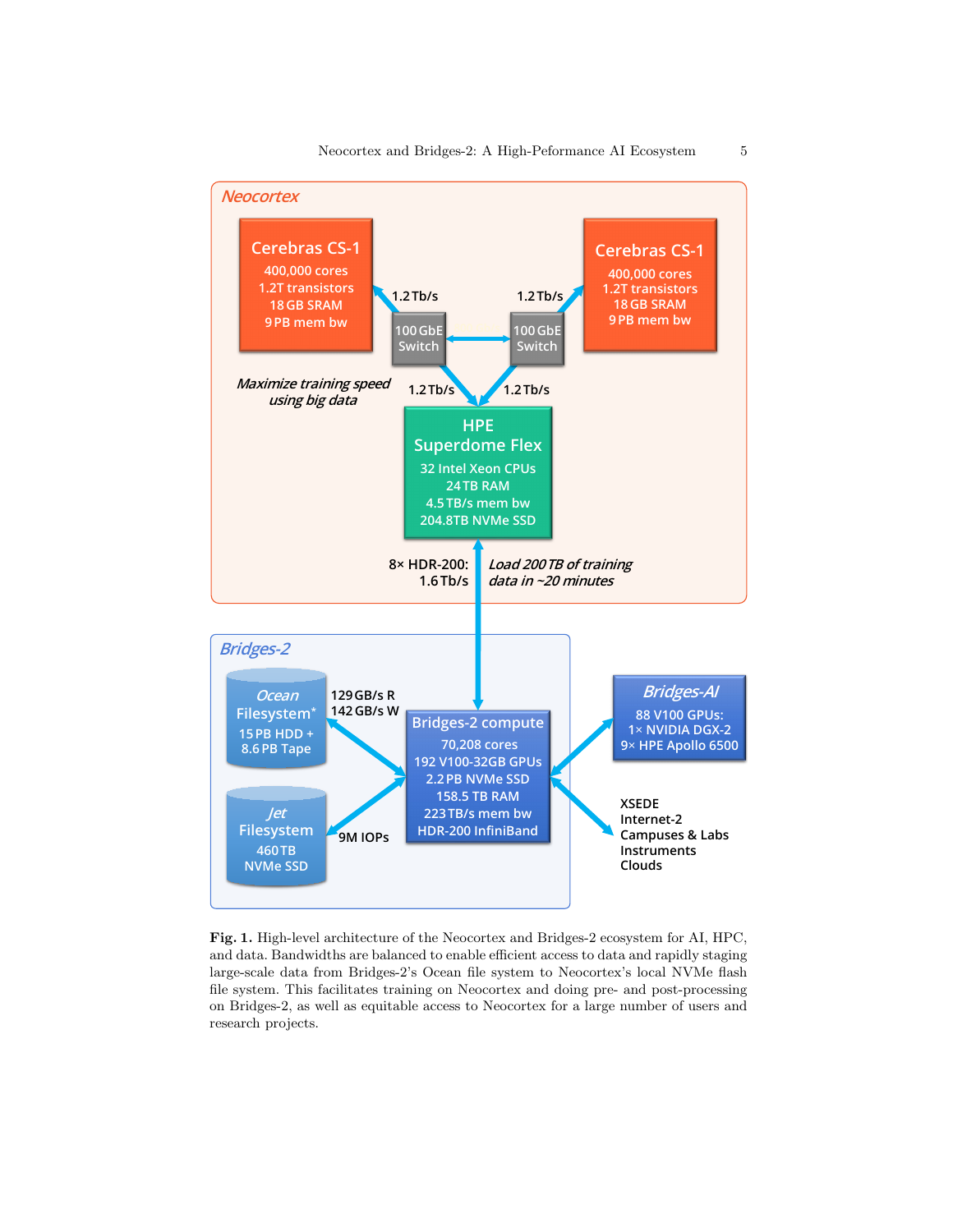

Fig. 1. High-level architecture of the Neocortex and Bridges-2 ecosystem for AI, HPC, and data. Bandwidths are balanced to enable efficient access to data and rapidly staging large-scale data from Bridges-2's Ocean file system to Neocortex's local NVMe flash file system. This facilitates training on Neocortex and doing pre- and post-processing on Bridges-2, as well as equitable access to Neocortex for a large number of users and research projects.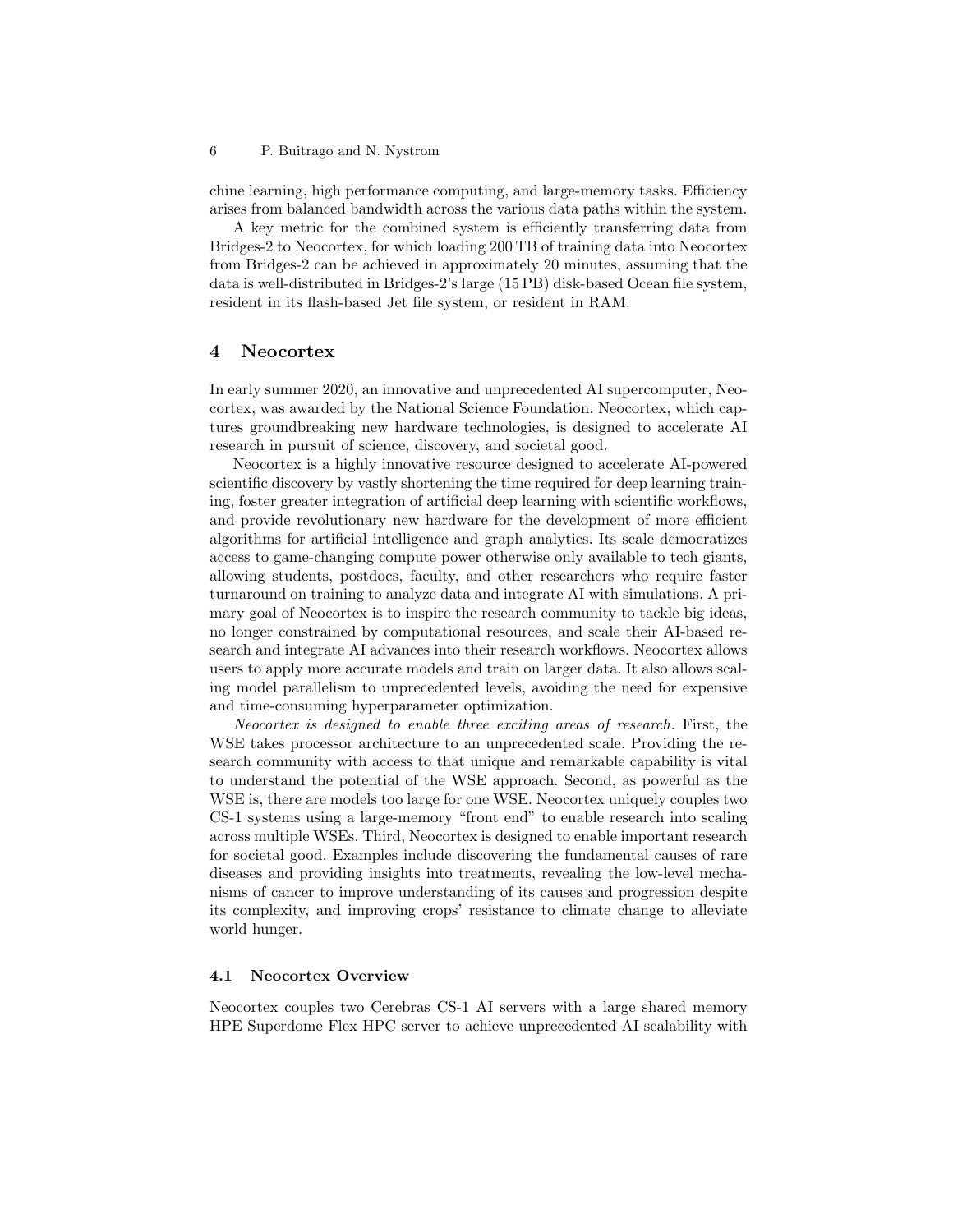chine learning, high performance computing, and large-memory tasks. Efficiency arises from balanced bandwidth across the various data paths within the system.

A key metric for the combined system is efficiently transferring data from Bridges-2 to Neocortex, for which loading 200 TB of training data into Neocortex from Bridges-2 can be achieved in approximately 20 minutes, assuming that the data is well-distributed in Bridges-2's large (15 PB) disk-based Ocean file system, resident in its flash-based Jet file system, or resident in RAM.

# 4 Neocortex

In early summer 2020, an innovative and unprecedented AI supercomputer, Neocortex, was awarded by the National Science Foundation. Neocortex, which captures groundbreaking new hardware technologies, is designed to accelerate AI research in pursuit of science, discovery, and societal good.

Neocortex is a highly innovative resource designed to accelerate AI-powered scientific discovery by vastly shortening the time required for deep learning training, foster greater integration of artificial deep learning with scientific workflows, and provide revolutionary new hardware for the development of more efficient algorithms for artificial intelligence and graph analytics. Its scale democratizes access to game-changing compute power otherwise only available to tech giants, allowing students, postdocs, faculty, and other researchers who require faster turnaround on training to analyze data and integrate AI with simulations. A primary goal of Neocortex is to inspire the research community to tackle big ideas, no longer constrained by computational resources, and scale their AI-based research and integrate AI advances into their research workflows. Neocortex allows users to apply more accurate models and train on larger data. It also allows scaling model parallelism to unprecedented levels, avoiding the need for expensive and time-consuming hyperparameter optimization.

Neocortex is designed to enable three exciting areas of research. First, the WSE takes processor architecture to an unprecedented scale. Providing the research community with access to that unique and remarkable capability is vital to understand the potential of the WSE approach. Second, as powerful as the WSE is, there are models too large for one WSE. Neocortex uniquely couples two CS-1 systems using a large-memory "front end" to enable research into scaling across multiple WSEs. Third, Neocortex is designed to enable important research for societal good. Examples include discovering the fundamental causes of rare diseases and providing insights into treatments, revealing the low-level mechanisms of cancer to improve understanding of its causes and progression despite its complexity, and improving crops' resistance to climate change to alleviate world hunger.

#### 4.1 Neocortex Overview

Neocortex couples two Cerebras CS-1 AI servers with a large shared memory HPE Superdome Flex HPC server to achieve unprecedented AI scalability with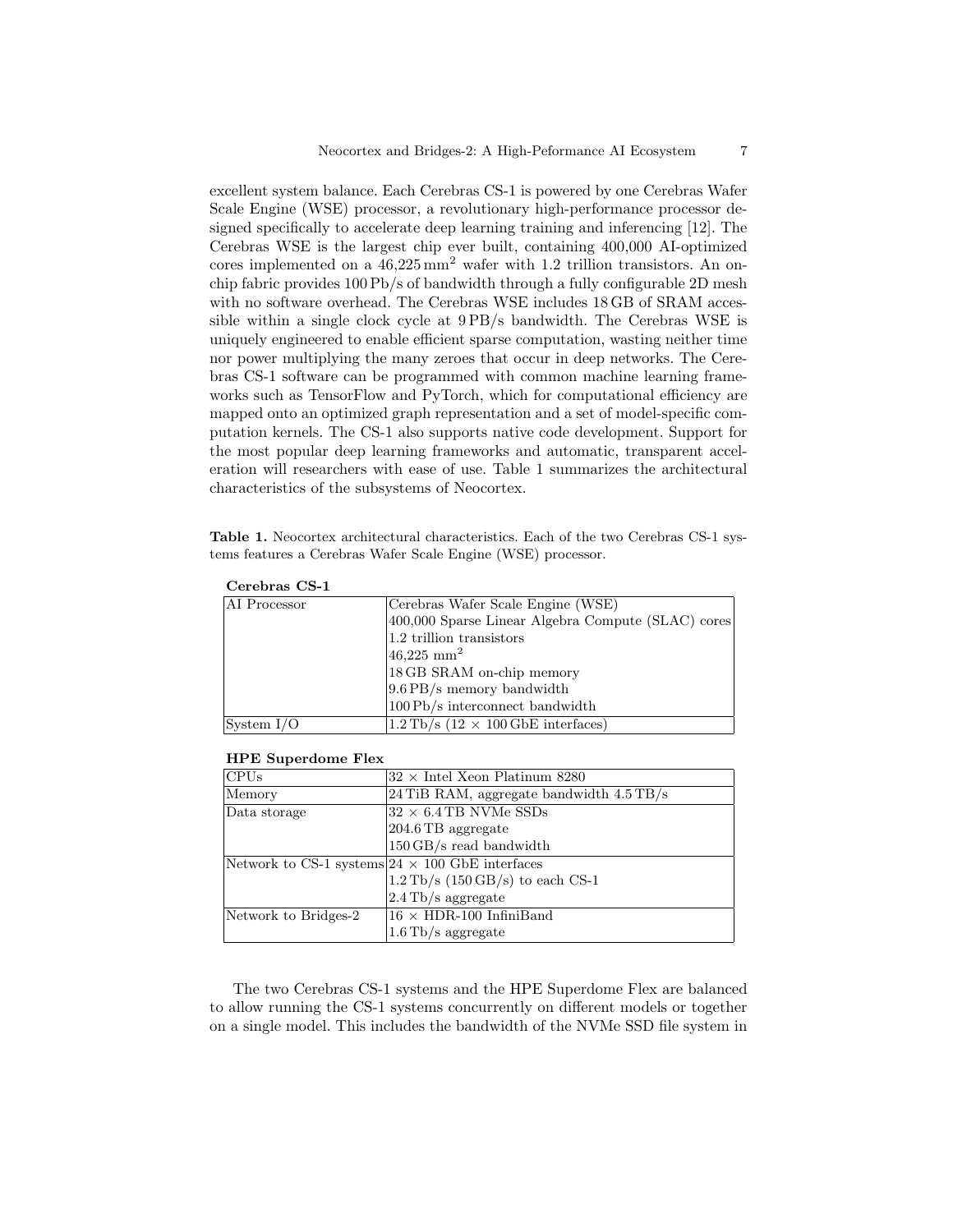excellent system balance. Each Cerebras CS-1 is powered by one Cerebras Wafer Scale Engine (WSE) processor, a revolutionary high-performance processor designed specifically to accelerate deep learning training and inferencing [12]. The Cerebras WSE is the largest chip ever built, containing 400,000 AI-optimized cores implemented on a  $46,225 \text{ mm}^2$  wafer with 1.2 trillion transistors. An onchip fabric provides 100 Pb/s of bandwidth through a fully configurable 2D mesh with no software overhead. The Cerebras WSE includes 18 GB of SRAM accessible within a single clock cycle at 9 PB/s bandwidth. The Cerebras WSE is uniquely engineered to enable efficient sparse computation, wasting neither time nor power multiplying the many zeroes that occur in deep networks. The Cerebras CS-1 software can be programmed with common machine learning frameworks such as TensorFlow and PyTorch, which for computational efficiency are mapped onto an optimized graph representation and a set of model-specific computation kernels. The CS-1 also supports native code development. Support for the most popular deep learning frameworks and automatic, transparent acceleration will researchers with ease of use. Table 1 summarizes the architectural characteristics of the subsystems of Neocortex.

Table 1. Neocortex architectural characteristics. Each of the two Cerebras CS-1 systems features a Cerebras Wafer Scale Engine (WSE) processor.

| AI Processor | Cerebras Wafer Scale Engine (WSE)                  |
|--------------|----------------------------------------------------|
|              | 400,000 Sparse Linear Algebra Compute (SLAC) cores |
|              | 1.2 trillion transistors                           |
|              | $46,225$ mm <sup>2</sup>                           |
|              | 18 GB SRAM on-chip memory                          |
|              | $9.6\,\text{PB/s}$ memory bandwidth                |
|              | 100 Pb/s interconnect bandwidth                    |
| System $I/O$ | $1.2 \text{ Tb/s}$ (12 × 100 GbE interfaces)       |
|              |                                                    |

#### Cerebras CS-1

#### HPE Superdome Flex

| CPUs                                                   | $32 \times$ Intel Xeon Platinum 8280                 |
|--------------------------------------------------------|------------------------------------------------------|
| Memory                                                 | 24 TiB RAM, aggregate bandwidth $4.5 \text{ TB/s}$   |
| Data storage                                           | $32 \times 6.4$ TB NVMe SSDs                         |
|                                                        | 204.6 TB aggregate                                   |
|                                                        | $150\,\text{GB/s}$ read bandwidth                    |
| Network to CS-1 systems $24 \times 100$ GbE interfaces |                                                      |
|                                                        | $(1.2 \text{ Tb/s } (150 \text{ GB/s})$ to each CS-1 |
|                                                        | $2.4$ Tb/s aggregate                                 |
| Network to Bridges-2                                   | $16 \times$ HDR-100 InfiniBand                       |
|                                                        | $1.6$ Tb/s aggregate                                 |

The two Cerebras CS-1 systems and the HPE Superdome Flex are balanced to allow running the CS-1 systems concurrently on different models or together on a single model. This includes the bandwidth of the NVMe SSD file system in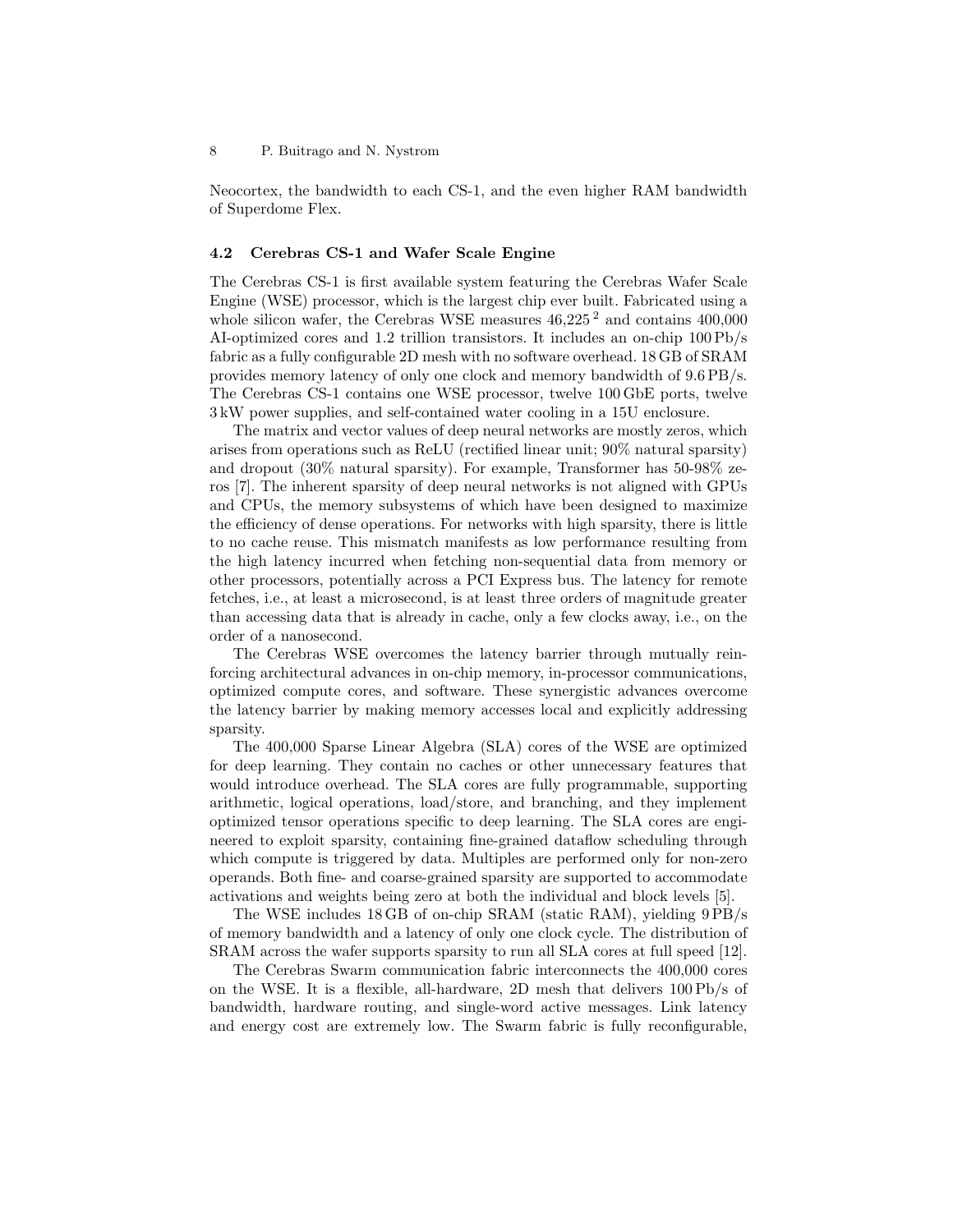Neocortex, the bandwidth to each CS-1, and the even higher RAM bandwidth of Superdome Flex.

## 4.2 Cerebras CS-1 and Wafer Scale Engine

The Cerebras CS-1 is first available system featuring the Cerebras Wafer Scale Engine (WSE) processor, which is the largest chip ever built. Fabricated using a whole silicon wafer, the Cerebras WSE measures  $46,225$  <sup>2</sup> and contains  $400,000$ AI-optimized cores and 1.2 trillion transistors. It includes an on-chip 100 Pb/s fabric as a fully configurable 2D mesh with no software overhead. 18 GB of SRAM provides memory latency of only one clock and memory bandwidth of 9.6 PB/s. The Cerebras CS-1 contains one WSE processor, twelve 100 GbE ports, twelve 3 kW power supplies, and self-contained water cooling in a 15U enclosure.

The matrix and vector values of deep neural networks are mostly zeros, which arises from operations such as ReLU (rectified linear unit; 90% natural sparsity) and dropout (30% natural sparsity). For example, Transformer has 50-98% zeros [7]. The inherent sparsity of deep neural networks is not aligned with GPUs and CPUs, the memory subsystems of which have been designed to maximize the efficiency of dense operations. For networks with high sparsity, there is little to no cache reuse. This mismatch manifests as low performance resulting from the high latency incurred when fetching non-sequential data from memory or other processors, potentially across a PCI Express bus. The latency for remote fetches, i.e., at least a microsecond, is at least three orders of magnitude greater than accessing data that is already in cache, only a few clocks away, i.e., on the order of a nanosecond.

The Cerebras WSE overcomes the latency barrier through mutually reinforcing architectural advances in on-chip memory, in-processor communications, optimized compute cores, and software. These synergistic advances overcome the latency barrier by making memory accesses local and explicitly addressing sparsity.

The 400,000 Sparse Linear Algebra (SLA) cores of the WSE are optimized for deep learning. They contain no caches or other unnecessary features that would introduce overhead. The SLA cores are fully programmable, supporting arithmetic, logical operations, load/store, and branching, and they implement optimized tensor operations specific to deep learning. The SLA cores are engineered to exploit sparsity, containing fine-grained dataflow scheduling through which compute is triggered by data. Multiples are performed only for non-zero operands. Both fine- and coarse-grained sparsity are supported to accommodate activations and weights being zero at both the individual and block levels [5].

The WSE includes 18 GB of on-chip SRAM (static RAM), yielding 9 PB/s of memory bandwidth and a latency of only one clock cycle. The distribution of SRAM across the wafer supports sparsity to run all SLA cores at full speed [12].

The Cerebras Swarm communication fabric interconnects the 400,000 cores on the WSE. It is a flexible, all-hardware, 2D mesh that delivers 100 Pb/s of bandwidth, hardware routing, and single-word active messages. Link latency and energy cost are extremely low. The Swarm fabric is fully reconfigurable,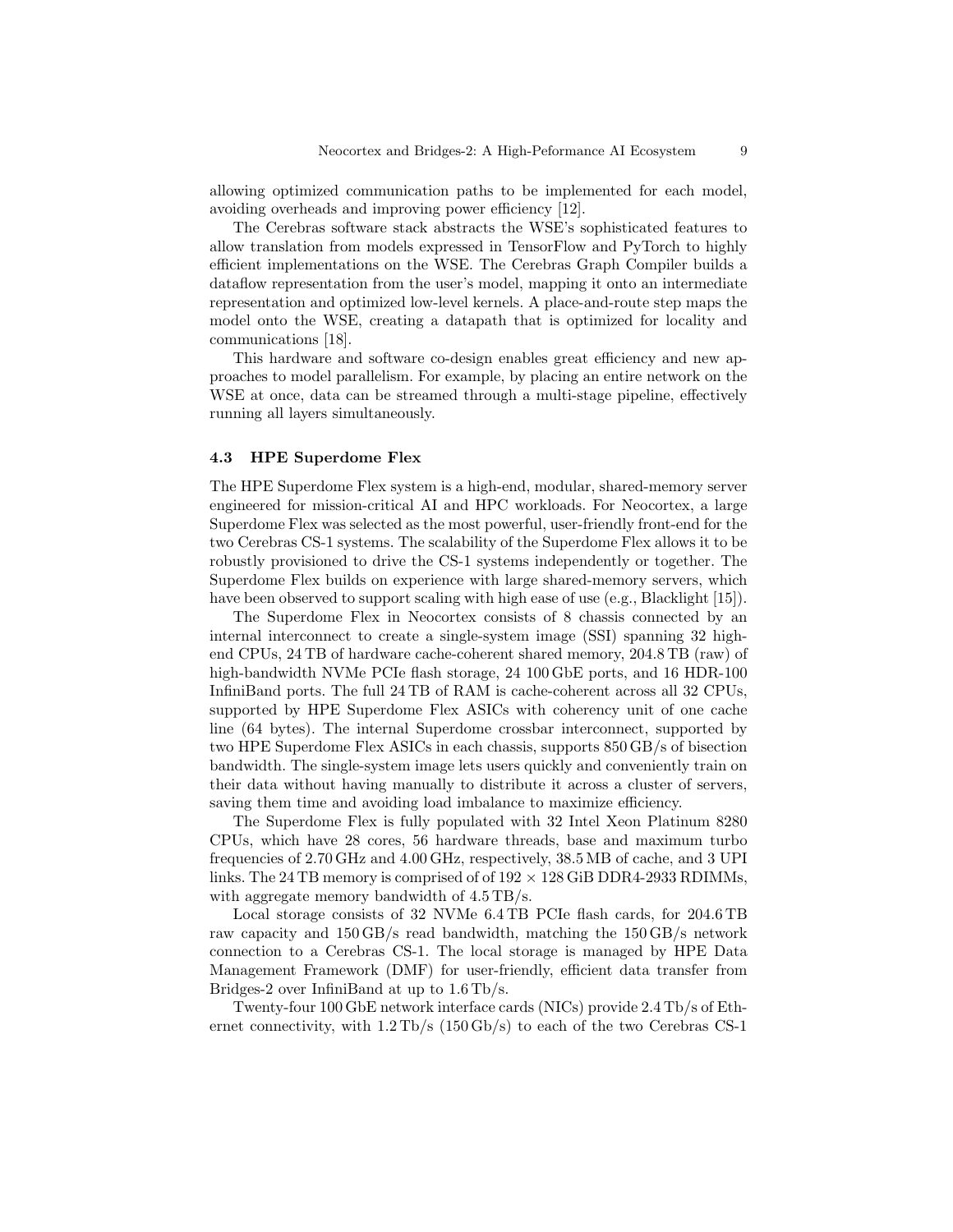allowing optimized communication paths to be implemented for each model, avoiding overheads and improving power efficiency [12].

The Cerebras software stack abstracts the WSE's sophisticated features to allow translation from models expressed in TensorFlow and PyTorch to highly efficient implementations on the WSE. The Cerebras Graph Compiler builds a dataflow representation from the user's model, mapping it onto an intermediate representation and optimized low-level kernels. A place-and-route step maps the model onto the WSE, creating a datapath that is optimized for locality and communications [18].

This hardware and software co-design enables great efficiency and new approaches to model parallelism. For example, by placing an entire network on the WSE at once, data can be streamed through a multi-stage pipeline, effectively running all layers simultaneously.

#### 4.3 HPE Superdome Flex

The HPE Superdome Flex system is a high-end, modular, shared-memory server engineered for mission-critical AI and HPC workloads. For Neocortex, a large Superdome Flex was selected as the most powerful, user-friendly front-end for the two Cerebras CS-1 systems. The scalability of the Superdome Flex allows it to be robustly provisioned to drive the CS-1 systems independently or together. The Superdome Flex builds on experience with large shared-memory servers, which have been observed to support scaling with high ease of use (e.g., Blacklight [15]).

The Superdome Flex in Neocortex consists of 8 chassis connected by an internal interconnect to create a single-system image (SSI) spanning 32 highend CPUs, 24 TB of hardware cache-coherent shared memory, 204.8 TB (raw) of high-bandwidth NVMe PCIe flash storage, 24 100 GbE ports, and 16 HDR-100 InfiniBand ports. The full 24 TB of RAM is cache-coherent across all 32 CPUs, supported by HPE Superdome Flex ASICs with coherency unit of one cache line (64 bytes). The internal Superdome crossbar interconnect, supported by two HPE Superdome Flex ASICs in each chassis, supports 850 GB/s of bisection bandwidth. The single-system image lets users quickly and conveniently train on their data without having manually to distribute it across a cluster of servers, saving them time and avoiding load imbalance to maximize efficiency.

The Superdome Flex is fully populated with 32 Intel Xeon Platinum 8280 CPUs, which have 28 cores, 56 hardware threads, base and maximum turbo frequencies of 2.70 GHz and 4.00 GHz, respectively, 38.5 MB of cache, and 3 UPI links. The 24 TB memory is comprised of of  $192 \times 128$  GiB DDR4-2933 RDIMMs, with aggregate memory bandwidth of 4.5 TB/s.

Local storage consists of 32 NVMe 6.4 TB PCIe flash cards, for 204.6 TB raw capacity and 150 GB/s read bandwidth, matching the 150 GB/s network connection to a Cerebras CS-1. The local storage is managed by HPE Data Management Framework (DMF) for user-friendly, efficient data transfer from Bridges-2 over InfiniBand at up to 1.6 Tb/s.

Twenty-four 100 GbE network interface cards (NICs) provide 2.4 Tb/s of Ethernet connectivity, with 1.2 Tb/s (150 Gb/s) to each of the two Cerebras CS-1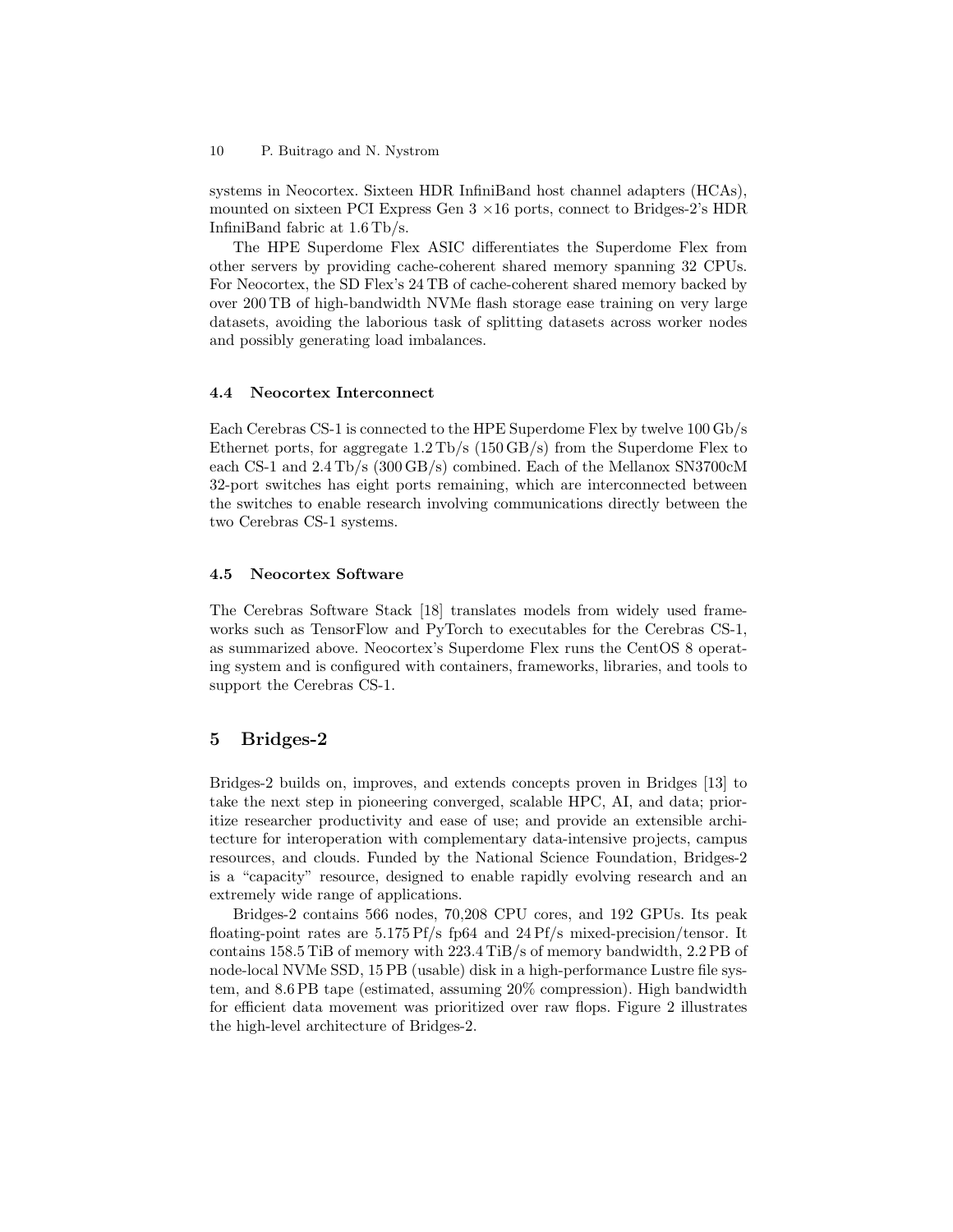10 P. Buitrago and N. Nystrom

systems in Neocortex. Sixteen HDR InfiniBand host channel adapters (HCAs), mounted on sixteen PCI Express Gen  $3 \times 16$  ports, connect to Bridges-2's HDR InfiniBand fabric at 1.6 Tb/s.

The HPE Superdome Flex ASIC differentiates the Superdome Flex from other servers by providing cache-coherent shared memory spanning 32 CPUs. For Neocortex, the SD Flex's 24 TB of cache-coherent shared memory backed by over 200 TB of high-bandwidth NVMe flash storage ease training on very large datasets, avoiding the laborious task of splitting datasets across worker nodes and possibly generating load imbalances.

#### 4.4 Neocortex Interconnect

Each Cerebras CS-1 is connected to the HPE Superdome Flex by twelve 100 Gb/s Ethernet ports, for aggregate  $1.2 \text{ Tb/s}$  (150 GB/s) from the Superdome Flex to each CS-1 and 2.4 Tb/s (300 GB/s) combined. Each of the Mellanox SN3700cM 32-port switches has eight ports remaining, which are interconnected between the switches to enable research involving communications directly between the two Cerebras CS-1 systems.

## 4.5 Neocortex Software

The Cerebras Software Stack [18] translates models from widely used frameworks such as TensorFlow and PyTorch to executables for the Cerebras CS-1, as summarized above. Neocortex's Superdome Flex runs the CentOS 8 operating system and is configured with containers, frameworks, libraries, and tools to support the Cerebras CS-1.

## 5 Bridges-2

Bridges-2 builds on, improves, and extends concepts proven in Bridges [13] to take the next step in pioneering converged, scalable HPC, AI, and data; prioritize researcher productivity and ease of use; and provide an extensible architecture for interoperation with complementary data-intensive projects, campus resources, and clouds. Funded by the National Science Foundation, Bridges-2 is a "capacity" resource, designed to enable rapidly evolving research and an extremely wide range of applications.

Bridges-2 contains 566 nodes, 70,208 CPU cores, and 192 GPUs. Its peak floating-point rates are 5.175 Pf/s fp64 and 24 Pf/s mixed-precision/tensor. It contains 158.5 TiB of memory with 223.4 TiB/s of memory bandwidth, 2.2 PB of node-local NVMe SSD, 15 PB (usable) disk in a high-performance Lustre file system, and 8.6 PB tape (estimated, assuming 20% compression). High bandwidth for efficient data movement was prioritized over raw flops. Figure 2 illustrates the high-level architecture of Bridges-2.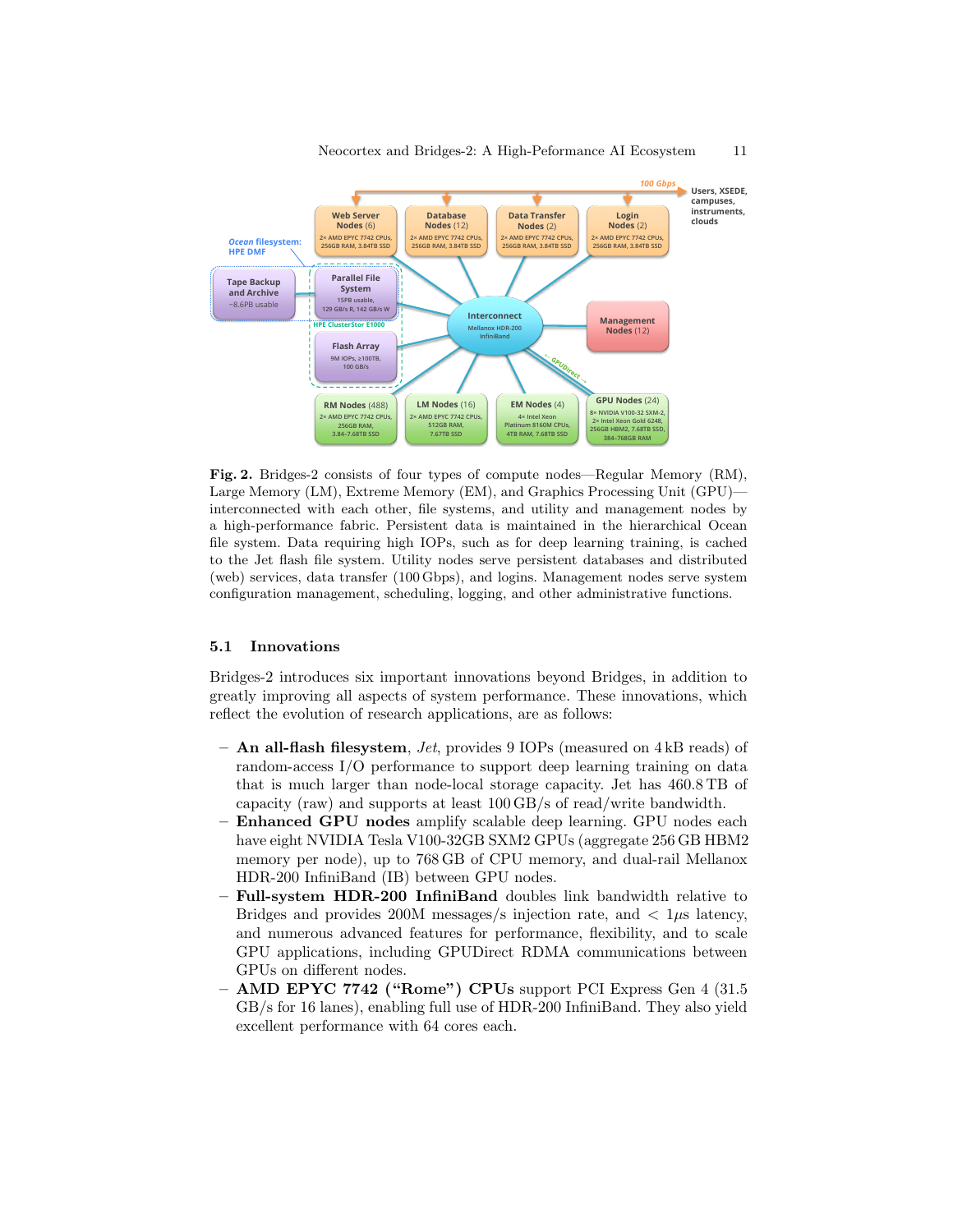

Fig. 2. Bridges-2 consists of four types of compute nodes—Regular Memory (RM), Large Memory (LM), Extreme Memory (EM), and Graphics Processing Unit (GPU) interconnected with each other, file systems, and utility and management nodes by a high-performance fabric. Persistent data is maintained in the hierarchical Ocean file system. Data requiring high IOPs, such as for deep learning training, is cached to the Jet flash file system. Utility nodes serve persistent databases and distributed (web) services, data transfer (100 Gbps), and logins. Management nodes serve system configuration management, scheduling, logging, and other administrative functions.

#### 5.1 Innovations

Bridges-2 introduces six important innovations beyond Bridges, in addition to greatly improving all aspects of system performance. These innovations, which reflect the evolution of research applications, are as follows:

- $-$  An all-flash filesystem, *Jet*, provides 9 IOPs (measured on 4 kB reads) of random-access I/O performance to support deep learning training on data that is much larger than node-local storage capacity. Jet has 460.8 TB of capacity (raw) and supports at least 100 GB/s of read/write bandwidth.
- Enhanced GPU nodes amplify scalable deep learning. GPU nodes each have eight NVIDIA Tesla V100-32GB SXM2 GPUs (aggregate 256 GB HBM2 memory per node), up to 768 GB of CPU memory, and dual-rail Mellanox HDR-200 InfiniBand (IB) between GPU nodes.
- Full-system HDR-200 InfiniBand doubles link bandwidth relative to Bridges and provides 200M messages/s injection rate, and  $\langle$  1 $\mu$ s latency, and numerous advanced features for performance, flexibility, and to scale GPU applications, including GPUDirect RDMA communications between GPUs on different nodes.
- AMD EPYC 7742 ("Rome") CPUs support PCI Express Gen 4 (31.5 GB/s for 16 lanes), enabling full use of HDR-200 InfiniBand. They also yield excellent performance with 64 cores each.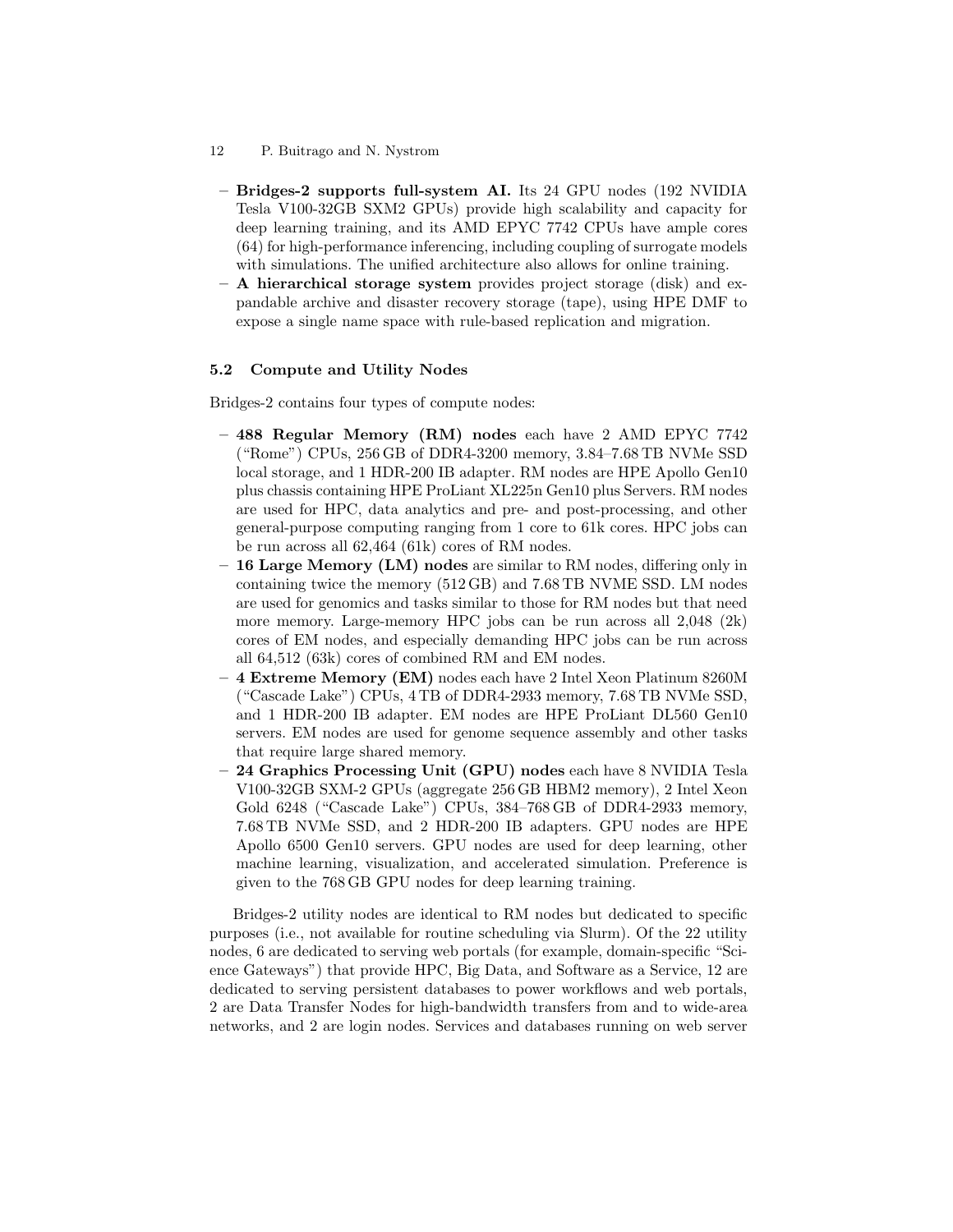- 12 P. Buitrago and N. Nystrom
	- Bridges-2 supports full-system AI. Its 24 GPU nodes (192 NVIDIA Tesla V100-32GB SXM2 GPUs) provide high scalability and capacity for deep learning training, and its AMD EPYC 7742 CPUs have ample cores (64) for high-performance inferencing, including coupling of surrogate models with simulations. The unified architecture also allows for online training.
- A hierarchical storage system provides project storage (disk) and expandable archive and disaster recovery storage (tape), using HPE DMF to expose a single name space with rule-based replication and migration.

## 5.2 Compute and Utility Nodes

Bridges-2 contains four types of compute nodes:

- 488 Regular Memory (RM) nodes each have 2 AMD EPYC 7742 ("Rome") CPUs, 256 GB of DDR4-3200 memory, 3.84–7.68 TB NVMe SSD local storage, and 1 HDR-200 IB adapter. RM nodes are HPE Apollo Gen10 plus chassis containing HPE ProLiant XL225n Gen10 plus Servers. RM nodes are used for HPC, data analytics and pre- and post-processing, and other general-purpose computing ranging from 1 core to 61k cores. HPC jobs can be run across all 62,464 (61k) cores of RM nodes.
- 16 Large Memory (LM) nodes are similar to RM nodes, differing only in containing twice the memory (512 GB) and 7.68 TB NVME SSD. LM nodes are used for genomics and tasks similar to those for RM nodes but that need more memory. Large-memory HPC jobs can be run across all 2,048 (2k) cores of EM nodes, and especially demanding HPC jobs can be run across all 64,512 (63k) cores of combined RM and EM nodes.
- 4 Extreme Memory (EM) nodes each have 2 Intel Xeon Platinum 8260M ("Cascade Lake") CPUs, 4 TB of DDR4-2933 memory, 7.68 TB NVMe SSD, and 1 HDR-200 IB adapter. EM nodes are HPE ProLiant DL560 Gen10 servers. EM nodes are used for genome sequence assembly and other tasks that require large shared memory.
- 24 Graphics Processing Unit (GPU) nodes each have 8 NVIDIA Tesla V100-32GB SXM-2 GPUs (aggregate 256 GB HBM2 memory), 2 Intel Xeon Gold 6248 ("Cascade Lake") CPUs, 384–768 GB of DDR4-2933 memory, 7.68 TB NVMe SSD, and 2 HDR-200 IB adapters. GPU nodes are HPE Apollo 6500 Gen10 servers. GPU nodes are used for deep learning, other machine learning, visualization, and accelerated simulation. Preference is given to the 768 GB GPU nodes for deep learning training.

Bridges-2 utility nodes are identical to RM nodes but dedicated to specific purposes (i.e., not available for routine scheduling via Slurm). Of the 22 utility nodes, 6 are dedicated to serving web portals (for example, domain-specific "Science Gateways") that provide HPC, Big Data, and Software as a Service, 12 are dedicated to serving persistent databases to power workflows and web portals, 2 are Data Transfer Nodes for high-bandwidth transfers from and to wide-area networks, and 2 are login nodes. Services and databases running on web server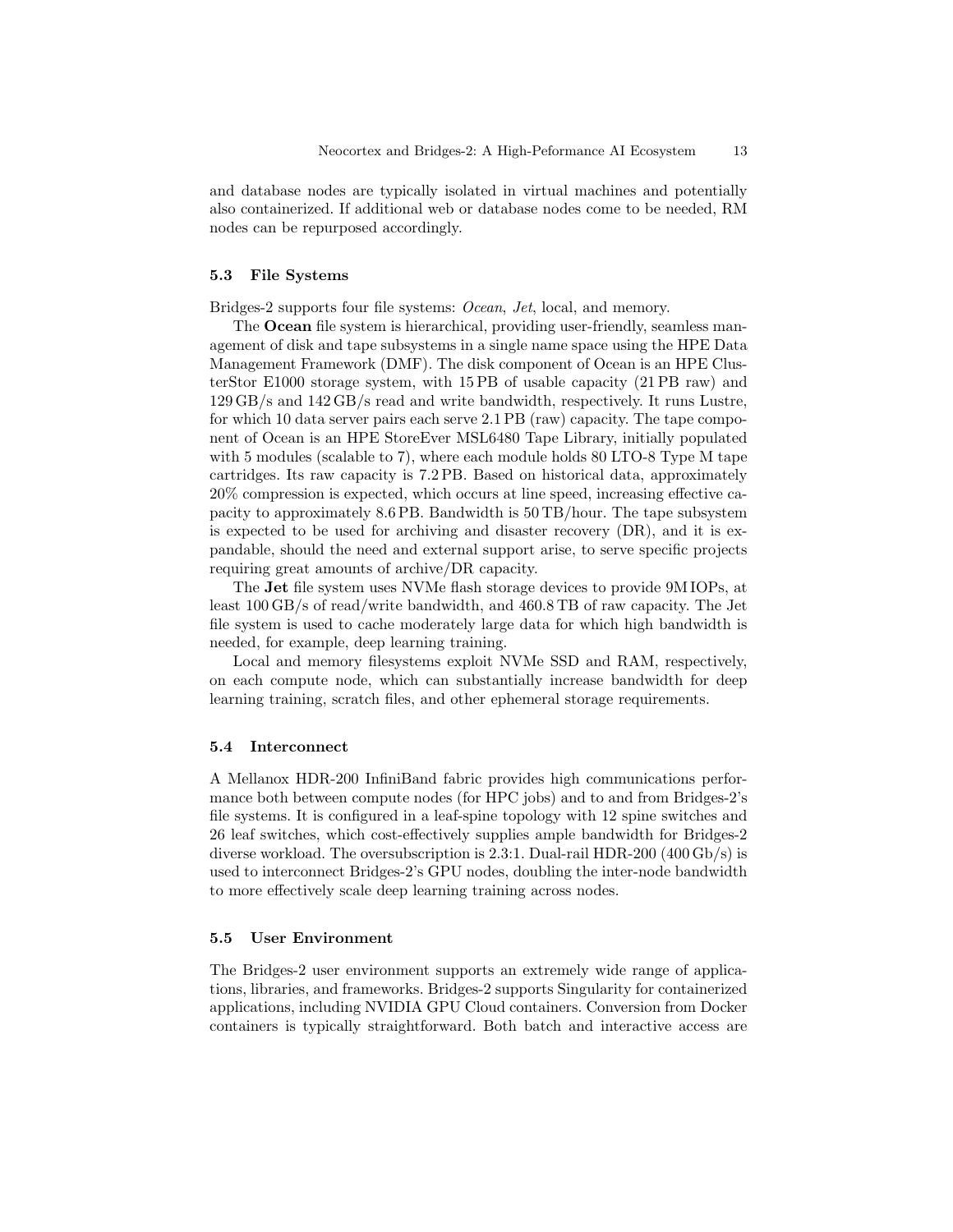and database nodes are typically isolated in virtual machines and potentially also containerized. If additional web or database nodes come to be needed, RM nodes can be repurposed accordingly.

## 5.3 File Systems

Bridges-2 supports four file systems: *Ocean*, *Jet*, local, and memory.

The Ocean file system is hierarchical, providing user-friendly, seamless management of disk and tape subsystems in a single name space using the HPE Data Management Framework (DMF). The disk component of Ocean is an HPE ClusterStor E1000 storage system, with 15 PB of usable capacity (21 PB raw) and 129 GB/s and 142 GB/s read and write bandwidth, respectively. It runs Lustre, for which 10 data server pairs each serve 2.1 PB (raw) capacity. The tape component of Ocean is an HPE StoreEver MSL6480 Tape Library, initially populated with 5 modules (scalable to 7), where each module holds 80 LTO-8 Type M tape cartridges. Its raw capacity is 7.2 PB. Based on historical data, approximately 20% compression is expected, which occurs at line speed, increasing effective capacity to approximately 8.6 PB. Bandwidth is 50 TB/hour. The tape subsystem is expected to be used for archiving and disaster recovery (DR), and it is expandable, should the need and external support arise, to serve specific projects requiring great amounts of archive/DR capacity.

The Jet file system uses NVMe flash storage devices to provide 9M IOPs, at least 100 GB/s of read/write bandwidth, and 460.8 TB of raw capacity. The Jet file system is used to cache moderately large data for which high bandwidth is needed, for example, deep learning training.

Local and memory filesystems exploit NVMe SSD and RAM, respectively, on each compute node, which can substantially increase bandwidth for deep learning training, scratch files, and other ephemeral storage requirements.

#### 5.4 Interconnect

A Mellanox HDR-200 InfiniBand fabric provides high communications performance both between compute nodes (for HPC jobs) and to and from Bridges-2's file systems. It is configured in a leaf-spine topology with 12 spine switches and 26 leaf switches, which cost-effectively supplies ample bandwidth for Bridges-2 diverse workload. The oversubscription is 2.3:1. Dual-rail HDR-200 (400 Gb/s) is used to interconnect Bridges-2's GPU nodes, doubling the inter-node bandwidth to more effectively scale deep learning training across nodes.

## 5.5 User Environment

The Bridges-2 user environment supports an extremely wide range of applications, libraries, and frameworks. Bridges-2 supports Singularity for containerized applications, including NVIDIA GPU Cloud containers. Conversion from Docker containers is typically straightforward. Both batch and interactive access are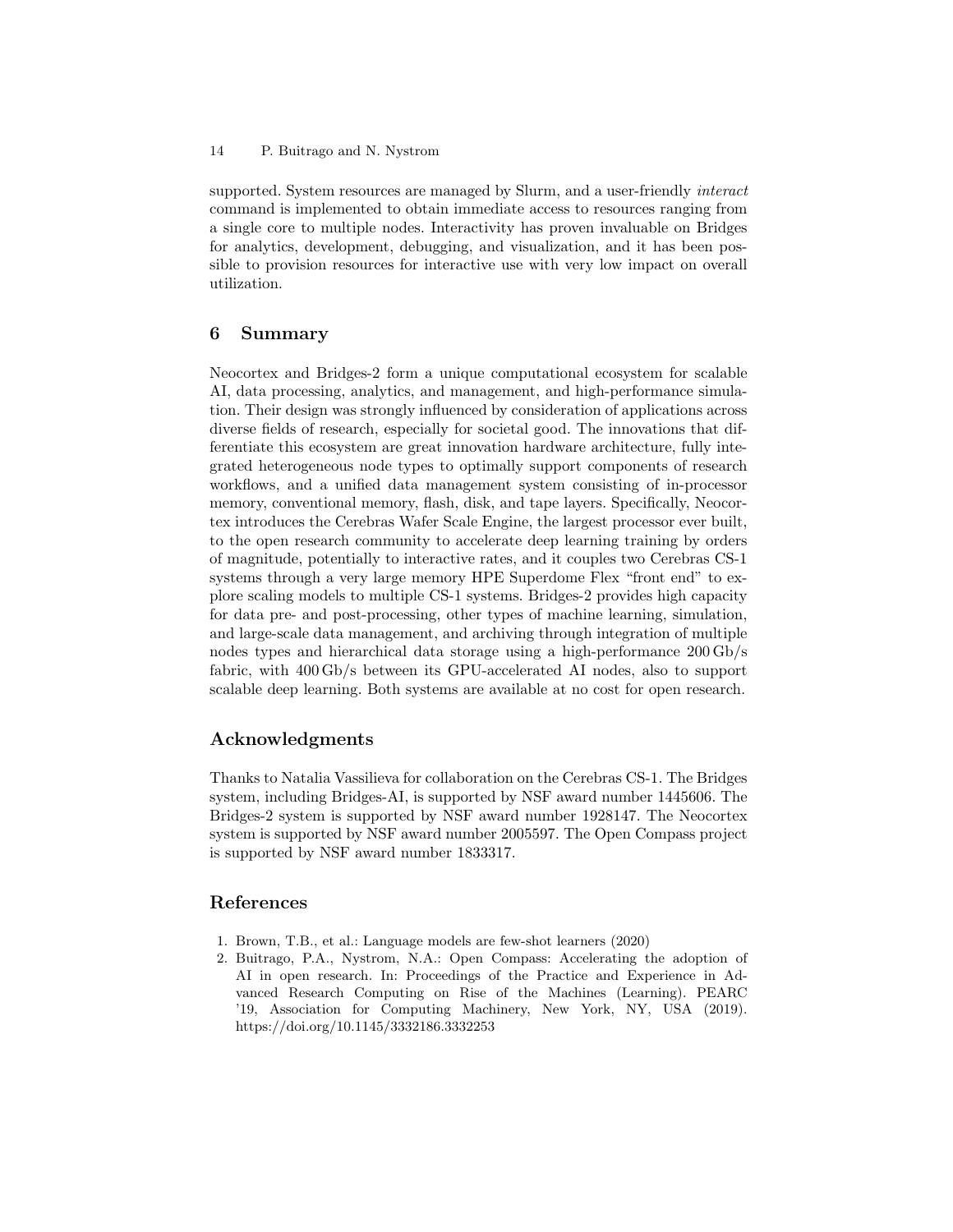#### 14 P. Buitrago and N. Nystrom

supported. System resources are managed by Slurm, and a user-friendly *interact* command is implemented to obtain immediate access to resources ranging from a single core to multiple nodes. Interactivity has proven invaluable on Bridges for analytics, development, debugging, and visualization, and it has been possible to provision resources for interactive use with very low impact on overall utilization.

# 6 Summary

Neocortex and Bridges-2 form a unique computational ecosystem for scalable AI, data processing, analytics, and management, and high-performance simulation. Their design was strongly influenced by consideration of applications across diverse fields of research, especially for societal good. The innovations that differentiate this ecosystem are great innovation hardware architecture, fully integrated heterogeneous node types to optimally support components of research workflows, and a unified data management system consisting of in-processor memory, conventional memory, flash, disk, and tape layers. Specifically, Neocortex introduces the Cerebras Wafer Scale Engine, the largest processor ever built, to the open research community to accelerate deep learning training by orders of magnitude, potentially to interactive rates, and it couples two Cerebras CS-1 systems through a very large memory HPE Superdome Flex "front end" to explore scaling models to multiple CS-1 systems. Bridges-2 provides high capacity for data pre- and post-processing, other types of machine learning, simulation, and large-scale data management, and archiving through integration of multiple nodes types and hierarchical data storage using a high-performance 200 Gb/s fabric, with 400 Gb/s between its GPU-accelerated AI nodes, also to support scalable deep learning. Both systems are available at no cost for open research.

# Acknowledgments

Thanks to Natalia Vassilieva for collaboration on the Cerebras CS-1. The Bridges system, including Bridges-AI, is supported by NSF award number 1445606. The Bridges-2 system is supported by NSF award number 1928147. The Neocortex system is supported by NSF award number 2005597. The Open Compass project is supported by NSF award number 1833317.

# References

- 1. Brown, T.B., et al.: Language models are few-shot learners (2020)
- 2. Buitrago, P.A., Nystrom, N.A.: Open Compass: Accelerating the adoption of AI in open research. In: Proceedings of the Practice and Experience in Advanced Research Computing on Rise of the Machines (Learning). PEARC '19, Association for Computing Machinery, New York, NY, USA (2019). https://doi.org/10.1145/3332186.3332253